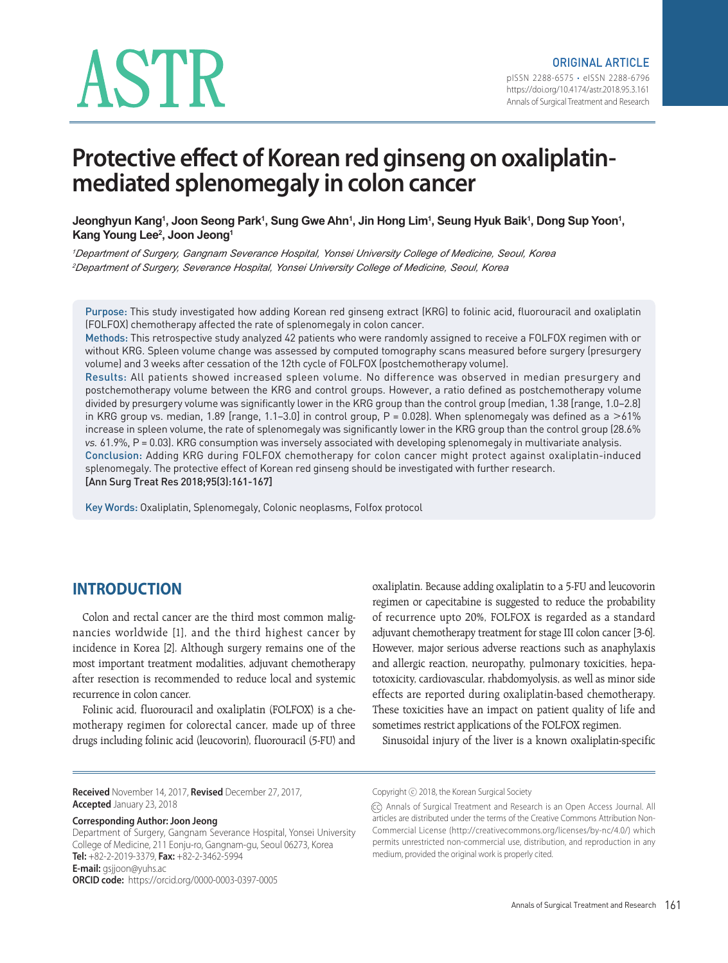# ASTR

# **Protective effect of Korean red ginseng on oxaliplatinmediated splenomegaly in colon cancer**

Jeonghyun Kang', Joon Seong Park', Sung Gwe Ahn', Jin Hong Lim', Seung Hyuk Baik', Dong Sup Yoon', **Kang Young Lee2 , Joon Jeong1**

*<sup>1</sup>Department of Surgery, Gangnam Severance Hospital, Yonsei University College of Medicine, Seoul, Korea <sup>2</sup>Department of Surgery, Severance Hospital, Yonsei University College of Medicine, Seoul, Korea*

Purpose: This study investigated how adding Korean red ginseng extract (KRG) to folinic acid, fluorouracil and oxaliplatin (FOLFOX) chemotherapy affected the rate of splenomegaly in colon cancer.

Methods: This retrospective study analyzed 42 patients who were randomly assigned to receive a FOLFOX regimen with or without KRG. Spleen volume change was assessed by computed tomography scans measured before surgery (presurgery volume) and 3 weeks after cessation of the 12th cycle of FOLFOX (postchemotherapy volume).

Results: All patients showed increased spleen volume. No difference was observed in median presurgery and postchemotherapy volume between the KRG and control groups. However, a ratio defined as postchemotherapy volume divided by presurgery volume was significantly lower in the KRG group than the control group (median, 1.38 [range, 1.0–2.8] in KRG group vs. median, 1.89 [range, 1.1–3.0] in control group,  $P = 0.028$ ]. When splenomegaly was defined as a  $>61\%$ increase in spleen volume, the rate of splenomegaly was significantly lower in the KRG group than the control group (28.6% vs. 61.9%, P = 0.03). KRG consumption was inversely associated with developing splenomegaly in multivariate analysis. Conclusion: Adding KRG during FOLFOX chemotherapy for colon cancer might protect against oxaliplatin-induced splenomegaly. The protective effect of Korean red ginseng should be investigated with further research.

[Ann Surg Treat Res 2018;95(3):161-167]

Key Words: Oxaliplatin, Splenomegaly, Colonic neoplasms, Folfox protocol

# **INTRODUCTION**

Colon and rectal cancer are the third most common malignancies worldwide [1], and the third highest cancer by incidence in Korea [2]. Although surgery remains one of the most important treatment modalities, adjuvant chemotherapy after resection is recommended to reduce local and systemic recurrence in colon cancer.

Folinic acid, fluorouracil and oxaliplatin (FOLFOX) is a chemotherapy regimen for colorectal cancer, made up of three drugs including folinic acid (leucovorin), fluorouracil (5-FU) and

oxaliplatin. Because adding oxaliplatin to a 5-FU and leucovorin regimen or capecitabine is suggested to reduce the probability of recurrence upto 20%, FOLFOX is regarded as a standard adjuvant chemotherapy treatment for stage III colon cancer [3-6]. However, major serious adverse reactions such as anaphylaxis and allergic reaction, neuropathy, pulmonary toxicities, hepatotoxicity, cardiovascular, rhabdomyolysis, as well as minor side effects are reported during oxaliplatin-based chemotherapy. These toxicities have an impact on patient quality of life and sometimes restrict applications of the FOLFOX regimen.

Sinusoidal injury of the liver is a known oxaliplatin-specific

**Received** November 14, 2017, **Revised** December 27, 2017, **Accepted** January 23, 2018

#### **Corresponding Author: Joon Jeong**

Department of Surgery, Gangnam Severance Hospital, Yonsei University College of Medicine, 211 Eonju-ro, Gangnam-gu, Seoul 06273, Korea **Tel:** +82-2-2019-3379, **Fax:** +82-2-3462-5994 **E-mail:** gsjjoon@yuhs.ac **ORCID code:** https://orcid.org/0000-0003-0397-0005

Copyright ⓒ 2018, the Korean Surgical Society

<sup>(</sup>cc) Annals of Surgical Treatment and Research is an Open Access Journal. All articles are distributed under the terms of the Creative Commons Attribution Non-Commercial License (http://creativecommons.org/licenses/by-nc/4.0/) which permits unrestricted non-commercial use, distribution, and reproduction in any medium, provided the original work is properly cited.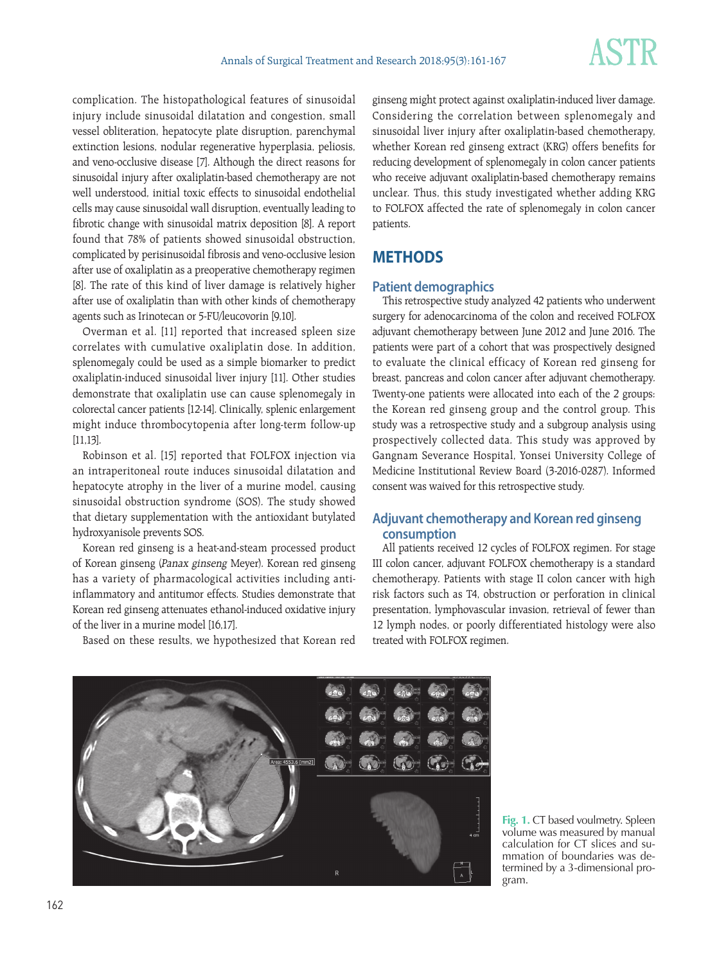complication. The histopathological features of sinusoidal injury include sinusoidal dilatation and congestion, small vessel obliteration, hepatocyte plate disruption, parenchymal extinction lesions, nodular regenerative hyperplasia, peliosis, and veno-occlusive disease [7]. Although the direct reasons for sinusoidal injury after oxaliplatin-based chemotherapy are not well understood, initial toxic effects to sinusoidal endothelial cells may cause sinusoidal wall disruption, eventually leading to fibrotic change with sinusoidal matrix deposition [8]. A report found that 78% of patients showed sinusoidal obstruction, complicated by perisinusoidal fibrosis and veno-occlusive lesion after use of oxaliplatin as a preoperative chemotherapy regimen [8]. The rate of this kind of liver damage is relatively higher after use of oxaliplatin than with other kinds of chemotherapy agents such as Irinotecan or 5-FU/leucovorin [9,10].

Overman et al. [11] reported that increased spleen size correlates with cumulative oxaliplatin dose. In addition, splenomegaly could be used as a simple biomarker to predict oxaliplatin-induced sinusoidal liver injury [11]. Other studies demonstrate that oxaliplatin use can cause splenomegaly in colorectal cancer patients [12-14]. Clinically, splenic enlargement might induce thrombocytopenia after long-term follow-up [11,13].

Robinson et al. [15] reported that FOLFOX injection via an intraperitoneal route induces sinusoidal dilatation and hepatocyte atrophy in the liver of a murine model, causing sinusoidal obstruction syndrome (SOS). The study showed that dietary supplementation with the antioxidant butylated hydroxyanisole prevents SOS.

Korean red ginseng is a heat-and-steam processed product of Korean ginseng (Panax ginseng Meyer). Korean red ginseng has a variety of pharmacological activities including antiinflammatory and antitumor effects. Studies demonstrate that Korean red ginseng attenuates ethanol-induced oxidative injury of the liver in a murine model [16,17].

Based on these results, we hypothesized that Korean red

ginseng might protect against oxaliplatin-induced liver damage. Considering the correlation between splenomegaly and sinusoidal liver injury after oxaliplatin-based chemotherapy, whether Korean red ginseng extract (KRG) offers benefits for reducing development of splenomegaly in colon cancer patients who receive adjuvant oxaliplatin-based chemotherapy remains unclear. Thus, this study investigated whether adding KRG to FOLFOX affected the rate of splenomegaly in colon cancer patients.

# **METHODS**

#### **Patient demographics**

This retrospective study analyzed 42 patients who underwent surgery for adenocarcinoma of the colon and received FOLFOX adjuvant chemotherapy between June 2012 and June 2016. The patients were part of a cohort that was prospectively designed to evaluate the clinical efficacy of Korean red ginseng for breast, pancreas and colon cancer after adjuvant chemotherapy. Twenty-one patients were allocated into each of the 2 groups: the Korean red ginseng group and the control group. This study was a retrospective study and a subgroup analysis using prospectively collected data. This study was approved by Gangnam Severance Hospital, Yonsei University College of Medicine Institutional Review Board (3-2016-0287). Informed consent was waived for this retrospective study.

## **Adjuvant chemotherapy and Korean red ginseng consumption**

All patients received 12 cycles of FOLFOX regimen. For stage III colon cancer, adjuvant FOLFOX chemotherapy is a standard chemotherapy. Patients with stage II colon cancer with high risk factors such as T4, obstruction or perforation in clinical presentation, lymphovascular invasion, retrieval of fewer than 12 lymph nodes, or poorly differentiated histology were also treated with FOLFOX regimen.



**Fig. 1.** CT based voulmetry. Spleen volume was measured by manual calculation for CT slices and summation of boundaries was determined by a 3-dimensional program.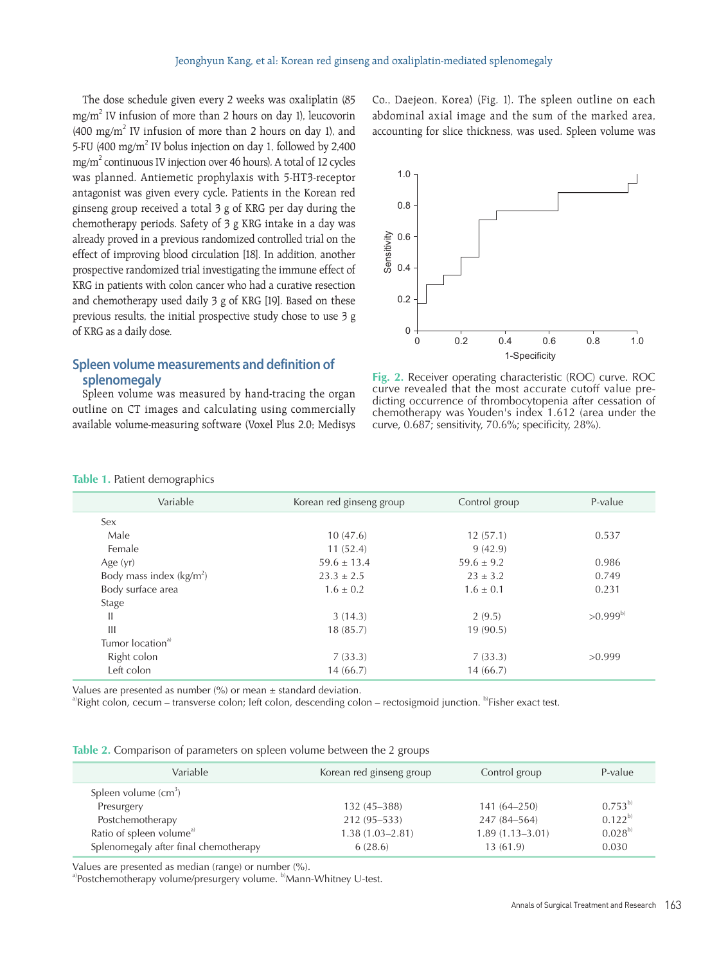The dose schedule given every 2 weeks was oxaliplatin (85 mg/m2 IV infusion of more than 2 hours on day 1), leucovorin  $(400 \text{ mg/m}^2)$  IV infusion of more than 2 hours on day 1), and 5-FU (400 mg/m<sup>2</sup> IV bolus injection on day 1, followed by 2,400 mg/m2 continuous IV injection over 46 hours). A total of 12 cycles was planned. Antiemetic prophylaxis with 5-HT3-receptor antagonist was given every cycle. Patients in the Korean red ginseng group received a total 3 g of KRG per day during the chemotherapy periods. Safety of 3 g KRG intake in a day was already proved in a previous randomized controlled trial on the effect of improving blood circulation [18]. In addition, another prospective randomized trial investigating the immune effect of KRG in patients with colon cancer who had a curative resection and chemotherapy used daily 3 g of KRG [19]. Based on these previous results, the initial prospective study chose to use 3 g of KRG as a daily dose.

### **Spleen volume measurements and definition of splenomegaly**

Spleen volume was measured by hand-tracing the organ outline on CT images and calculating using commercially available volume-measuring software (Voxel Plus 2.0; Medisys Co., Daejeon, Korea) (Fig. 1). The spleen outline on each abdominal axial image and the sum of the marked area, accounting for slice thickness, was used. Spleen volume was



**Fig. 2.** Receiver operating characteristic (ROC) curve. ROC curve revealed that the most accurate cutoff value predicting occurrence of thrombocytopenia after cessation of chemotherapy was Youden's index 1.612 (area under the curve, 0.687; sensitivity, 70.6%; specificity, 28%).

#### **Table 1.** Patient demographics

| Variable                     | Korean red ginseng group | Control group  | P-value      |
|------------------------------|--------------------------|----------------|--------------|
| Sex                          |                          |                |              |
| Male                         | 10(47.6)                 | 12(57.1)       | 0.537        |
| Female                       | 11(52.4)                 | 9(42.9)        |              |
| Age (yr)                     | $59.6 \pm 13.4$          | $59.6 \pm 9.2$ | 0.986        |
| Body mass index $(kg/m2)$    | $23.3 \pm 2.5$           | $23 + 3.2$     | 0.749        |
| Body surface area            | $1.6 \pm 0.2$            | $1.6 \pm 0.1$  | 0.231        |
| Stage                        |                          |                |              |
| $\mathbf{H}$                 | 3(14.3)                  | 2(9.5)         | $>0.999^{b}$ |
| $\mathbf{III}$               | 18(85.7)                 | 19(90.5)       |              |
| Tumor location <sup>a)</sup> |                          |                |              |
| Right colon                  | 7(33.3)                  | 7(33.3)        | >0.999       |
| Left colon                   | 14(66.7)                 | 14(66.7)       |              |

Values are presented as number  $\frac{9}{6}$  or mean  $\pm$  standard deviation.

a)Right colon, cecum – transverse colon; left colon, descending colon – rectosigmoid junction. b)Fisher exact test.

| <b>Table 2.</b> Comparison of parameters on spleen volume between the 2 groups |
|--------------------------------------------------------------------------------|
|--------------------------------------------------------------------------------|

| Variable                              | Korean red ginseng group | Control group       | P-value     |
|---------------------------------------|--------------------------|---------------------|-------------|
| Spleen volume (cm <sup>3</sup> )      |                          |                     |             |
| Presurgery                            | $132(45 - 388)$          | $141(64 - 250)$     | $0.753^{b}$ |
| Postchemotherapy                      | 212 (95–533)             | 247 (84–564)        | $0.122^{b}$ |
| Ratio of spleen volume <sup>a)</sup>  | $1.38(1.03 - 2.81)$      | $1.89(1.13 - 3.01)$ | $0.028^{b}$ |
| Splenomegaly after final chemotherapy | 6(28.6)                  | 13(61.9)            | 0.030       |
|                                       |                          |                     |             |

Values are presented as median (range) or number (%).

a)Postchemotherapy volume/presurgery volume. b)Mann-Whitney U-test.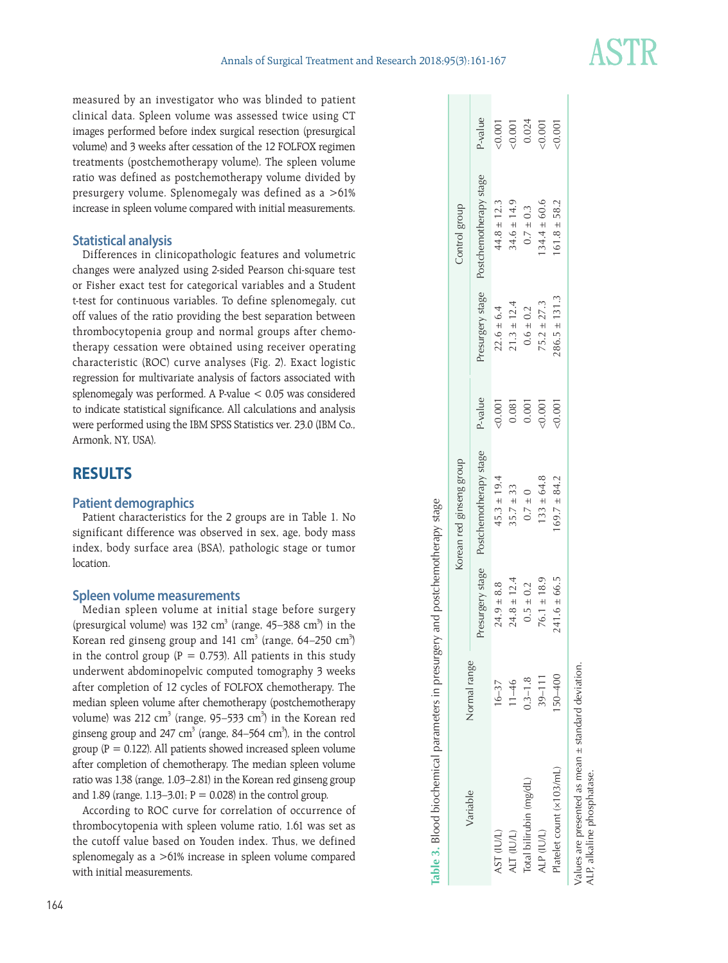measured by an investigator who was blinded to patient clinical data. Spleen volume was assessed twice using CT images performed before index surgical resection (presurgical volume) and 3 weeks after cessation of the 12 FOLFOX regimen treatments (postchemotherapy volume). The spleen volume ratio was defined as postchemotherapy volume divided by presurgery volume. Splenomegaly was defined as a >61% increase in spleen volume compared with initial measurements.

#### **Statistical analysis**

Differences in clinicopathologic features and volumetric changes were analyzed using 2-sided Pearson chi-square test or Fisher exact test for categorical variables and a Student t-test for continuous variables. To define splenomegaly, cut off values of the ratio providing the best separation between thrombocytopenia group and normal groups after chemotherapy cessation were obtained using receiver operating characteristic (ROC) curve analyses (Fig. 2). Exact logistic regression for multivariate analysis of factors associated with splenomegaly was performed. A P-value < 0.05 was considered to indicate statistical significance. All calculations and analysis were performed using the IBM SPSS Statistics ver. 23.0 (IBM Co., Armonk, NY, USA).

# **RESULTS**

#### **Patient demographics**

Patient characteristics for the 2 groups are in Table 1. No significant difference was observed in sex, age, body mass index, body surface area (BSA), pathologic stage or tumor **location** 

#### **Spleen volume measurements**

Median spleen volume at initial stage before surgery (presurgical volume) was 132 cm<sup>3</sup> (range, 45–388 cm<sup>3</sup>) in the Korean red ginseng group and 141 cm<sup>3</sup> (range, 64–250 cm<sup>3</sup>) in the control group ( $P = 0.753$ ). All patients in this study underwent abdominopelvic computed tomography 3 weeks after completion of 12 cycles of FOLFOX chemotherapy. The median spleen volume after chemotherapy (postchemotherapy volume) was 212 cm<sup>3</sup> (range, 95–533 cm<sup>3</sup>) in the Korean red ginseng group and 247 cm<sup>3</sup> (range, 84–564 cm<sup>3</sup>), in the control group ( $P = 0.122$ ). All patients showed increased spleen volume after completion of chemotherapy. The median spleen volume ratio was 1.38 (range, 1.03–2.81) in the Korean red ginseng group and 1.89 (range, 1.13-3.01;  $P = 0.028$ ) in the control group.

According to ROC curve for correlation of occurrence of thrombocytopenia with spleen volume ratio, 1.61 was set as the cutoff value based on Youden index. Thus, we defined splenomegaly as a >61% increase in spleen volume compared with initial measurements.

| Variable                 |              |                  | Korean red ginseng group |          |                   | Control group          |         |
|--------------------------|--------------|------------------|--------------------------|----------|-------------------|------------------------|---------|
|                          | Normal range | Presurgery stage | Postchemotherapy stage   | P-value  | Presurgery stage  | Postchemotherapy stage | P-value |
| AST (IU/L)               | $16 - 37$    | $24.9 \pm 8.8$   | $45.3 \pm 19.4$          | 50.001   | $22.6 \pm 6.4$    | $44.8 \pm 12.3$        |         |
| ALT (IU/L)               | $11 - 46$    | $24.8 \pm 12.4$  | $35.7 \pm 33$            | 0.081    | $21.3 \pm 12.4$   | $34.6 \pm 14.9$        | 0.001   |
| Total bilirubin (mg/dL)  | $0.3 - 1.8$  | $0.5 \pm 0.2$    | $0.7 \pm 0$              | 0.001    | $0.6\pm0.2$       | $0.7 \pm 0.3$          | 0.024   |
| ALP (IU/L)               | $39 - 111$   | $76.1 \pm 18.9$  | $133 \pm 64.8$           | :0.001   | $75.2 \pm 27.3$   | $34.4 \pm 60.6$        | 0.001   |
| Platelet count (x103/mL) | 50-400       | $241.6 \pm 66.5$ | $169.7 \pm 84.2$         | $-0.001$ | $286.5 \pm 131.3$ | $161.8 \pm 58.2$       | 100.0   |
|                          |              |                  |                          |          |                   |                        |         |

**Table 3.** Blood biochemical parameters in presurgery and postchemotherapy stage

lable 3. Blood biochemical parameters in presurgery and postchemotherapy stage

Values are presented as mean  $\pm$  standard deviation. Values are presented as mean ± standard deviation. ALP, alkaline phosphatase. ALP, alkaline phosphatase.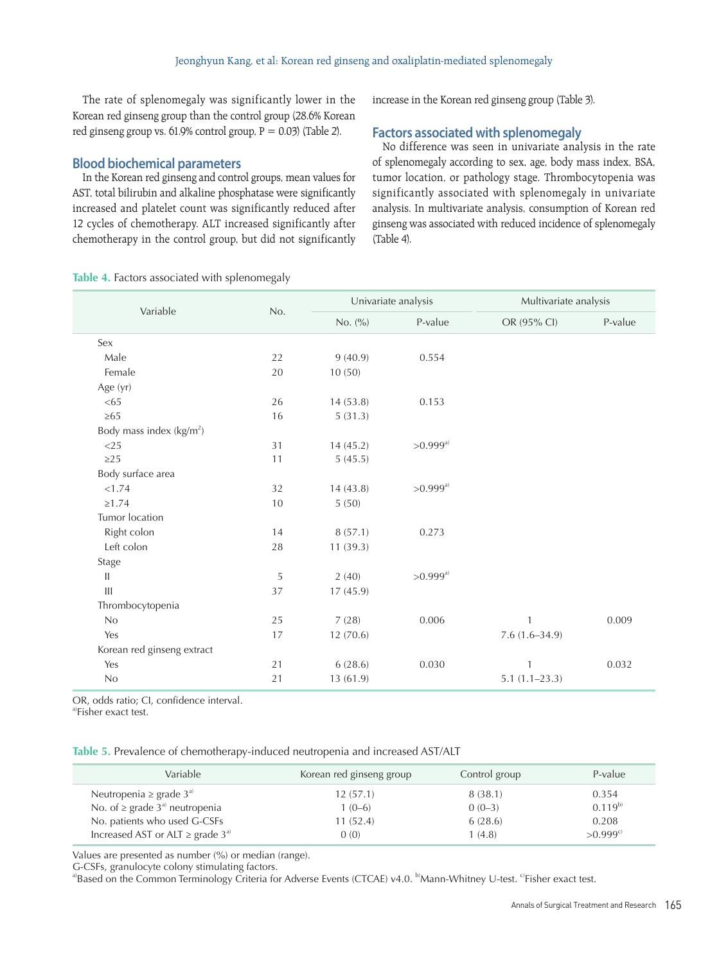The rate of splenomegaly was significantly lower in the Korean red ginseng group than the control group (28.6% Korean red ginseng group vs.  $61.9\%$  control group,  $P = 0.03$ ) (Table 2).

#### **Blood biochemical parameters**

In the Korean red ginseng and control groups, mean values for AST, total bilirubin and alkaline phosphatase were significantly increased and platelet count was significantly reduced after 12 cycles of chemotherapy. ALT increased significantly after chemotherapy in the control group, but did not significantly increase in the Korean red ginseng group (Table 3).

#### **Factors associated with splenomegaly**

No difference was seen in univariate analysis in the rate of splenomegaly according to sex, age, body mass index, BSA, tumor location, or pathology stage. Thrombocytopenia was significantly associated with splenomegaly in univariate analysis. In multivariate analysis, consumption of Korean red ginseng was associated with reduced incidence of splenomegaly (Table 4).

| Table 4. Factors associated with splenomegaly |  |  |  |
|-----------------------------------------------|--|--|--|
|-----------------------------------------------|--|--|--|

| Variable                    | No. | Univariate analysis |                        | Multivariate analysis |         |
|-----------------------------|-----|---------------------|------------------------|-----------------------|---------|
|                             |     | No. (%)             | P-value                | OR (95% CI)           | P-value |
| Sex                         |     |                     |                        |                       |         |
| Male                        | 22  | 9(40.9)             | 0.554                  |                       |         |
| Female                      | 20  | 10(50)              |                        |                       |         |
| Age (yr)                    |     |                     |                        |                       |         |
| <65                         | 26  | 14(53.8)            | 0.153                  |                       |         |
| $\geq 65$                   | 16  | 5(31.3)             |                        |                       |         |
| Body mass index $(kg/m2)$   |     |                     |                        |                       |         |
| $<$ 25                      | 31  | 14(45.2)            | $>0.999$ <sup>a)</sup> |                       |         |
| $\geq$ 25                   | 11  | 5(45.5)             |                        |                       |         |
| Body surface area           |     |                     |                        |                       |         |
| < 1.74                      | 32  | 14(43.8)            | $>0.999$ <sup>a)</sup> |                       |         |
| $\geq 1.74$                 | 10  | 5(50)               |                        |                       |         |
| Tumor location              |     |                     |                        |                       |         |
| Right colon                 | 14  | 8(57.1)             | 0.273                  |                       |         |
| Left colon                  | 28  | 11(39.3)            |                        |                       |         |
| Stage                       |     |                     |                        |                       |         |
| $\vert\vert$                | 5   | 2(40)               | $>0.999^{a}$           |                       |         |
| $\mathop{\rm III}\nolimits$ | 37  | 17(45.9)            |                        |                       |         |
| Thrombocytopenia            |     |                     |                        |                       |         |
| No                          | 25  | 7(28)               | 0.006                  | $\mathbf{1}$          | 0.009   |
| Yes                         | 17  | 12(70.6)            |                        | $7.6(1.6 - 34.9)$     |         |
| Korean red ginseng extract  |     |                     |                        |                       |         |
| Yes                         | 21  | 6(28.6)             | 0.030                  | 1                     | 0.032   |
| No                          | 21  | 13(61.9)            |                        | $5.1(1.1-23.3)$       |         |

OR, odds ratio; CI, confidence interval.

a)Fisher exact test.

**Table 5.** Prevalence of chemotherapy-induced neutropenia and increased AST/ALT

| Variable                                                                                                                   | Korean red ginseng group         | Control group                  | P-value                       |
|----------------------------------------------------------------------------------------------------------------------------|----------------------------------|--------------------------------|-------------------------------|
| Neutropenia $\geq$ grade 3 <sup>a</sup><br>No. of $\geq$ grade 3 <sup>a)</sup> neutropenia<br>No. patients who used G-CSFs | 12(57.1)<br>$1(0-6)$<br>11(52.4) | 8(38.1)<br>$0(0-3)$<br>6(28.6) | 0.354<br>$0.119^{b}$<br>0.208 |
| Increased AST or ALT $\geq$ grade 3 <sup>a)</sup>                                                                          | (0)                              | 1(4.8)                         | $> 0.999^{c}$                 |

Values are presented as number (%) or median (range).

G-CSFs, granulocyte colony stimulating factors.

a)Based on the Common Terminology Criteria for Adverse Events (CTCAE) v4.0. <sup>b)</sup>Mann-Whitney U-test. <sup>c</sup>Fisher exact test.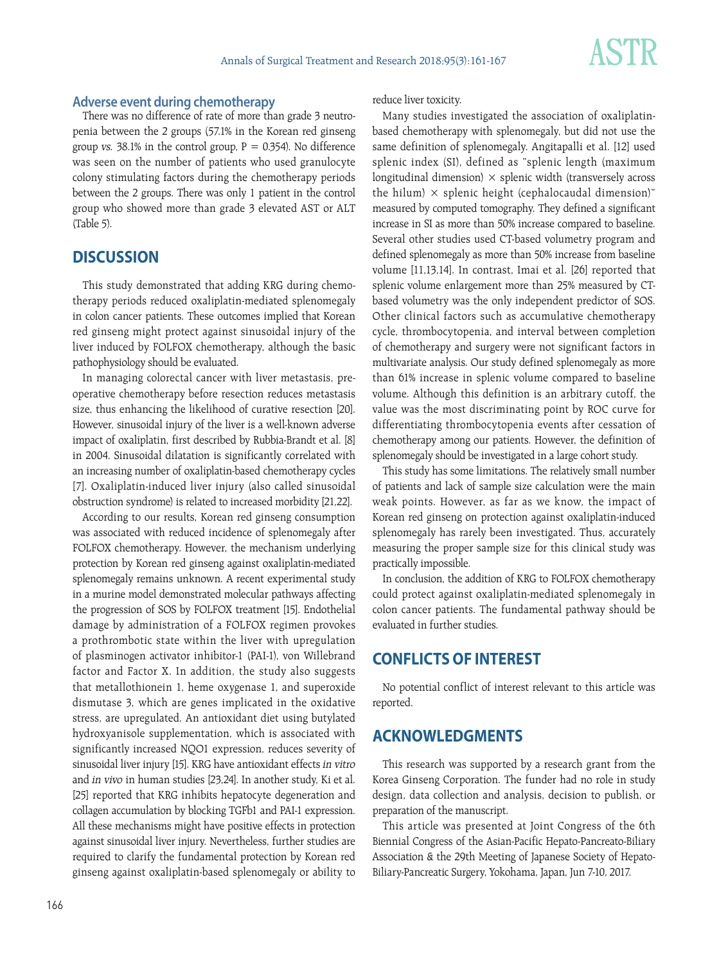#### **Adverse event during chemotherapy**

There was no difference of rate of more than grade 3 neutropenia between the 2 groups (57.1% in the Korean red ginseng group vs. 38.1% in the control group,  $P = 0.354$ ). No difference was seen on the number of patients who used granulocyte colony stimulating factors during the chemotherapy periods between the 2 groups. There was only 1 patient in the control group who showed more than grade 3 elevated AST or ALT (Table 5).

# **DISCUSSION**

This study demonstrated that adding KRG during chemotherapy periods reduced oxaliplatin-mediated splenomegaly in colon cancer patients. These outcomes implied that Korean red ginseng might protect against sinusoidal injury of the liver induced by FOLFOX chemotherapy, although the basic pathophysiology should be evaluated.

In managing colorectal cancer with liver metastasis, preoperative chemotherapy before resection reduces metastasis size, thus enhancing the likelihood of curative resection [20]. However, sinusoidal injury of the liver is a well-known adverse impact of oxaliplatin, first described by Rubbia-Brandt et al. [8] in 2004. Sinusoidal dilatation is significantly correlated with an increasing number of oxaliplatin-based chemotherapy cycles [7]. Oxaliplatin-induced liver injury (also called sinusoidal obstruction syndrome) is related to increased morbidity [21,22].

According to our results, Korean red ginseng consumption was associated with reduced incidence of splenomegaly after FOLFOX chemotherapy. However, the mechanism underlying protection by Korean red ginseng against oxaliplatin-mediated splenomegaly remains unknown. A recent experimental study in a murine model demonstrated molecular pathways affecting the progression of SOS by FOLFOX treatment [15]. Endothelial damage by administration of a FOLFOX regimen provokes a prothrombotic state within the liver with upregulation of plasminogen activator inhibitor-1 (PAI-1), von Willebrand factor and Factor X. In addition, the study also suggests that metallothionein 1, heme oxygenase 1, and superoxide dismutase 3, which are genes implicated in the oxidative stress, are upregulated. An antioxidant diet using butylated hydroxyanisole supplementation, which is associated with significantly increased NQO1 expression, reduces severity of sinusoidal liver injury [15]. KRG have antioxidant effects in vitro and in vivo in human studies [23,24]. In another study, Ki et al. [25] reported that KRG inhibits hepatocyte degeneration and collagen accumulation by blocking TGFb1 and PAI-1 expression. All these mechanisms might have positive effects in protection against sinusoidal liver injury. Nevertheless, further studies are required to clarify the fundamental protection by Korean red ginseng against oxaliplatin-based splenomegaly or ability to reduce liver toxicity.

Many studies investigated the association of oxaliplatinbased chemotherapy with splenomegaly, but did not use the same definition of splenomegaly. Angitapalli et al. [12] used splenic index (SI), defined as "splenic length (maximum longitudinal dimension)  $\times$  splenic width (transversely across the hilum)  $\times$  splenic height (cephalocaudal dimension)" measured by computed tomography. They defined a significant increase in SI as more than 50% increase compared to baseline. Several other studies used CT-based volumetry program and defined splenomegaly as more than 50% increase from baseline volume [11,13,14]. In contrast, Imai et al. [26] reported that splenic volume enlargement more than 25% measured by CTbased volumetry was the only independent predictor of SOS. Other clinical factors such as accumulative chemotherapy cycle, thrombocytopenia, and interval between completion of chemotherapy and surgery were not significant factors in multivariate analysis. Our study defined splenomegaly as more than 61% increase in splenic volume compared to baseline volume. Although this definition is an arbitrary cutoff, the value was the most discriminating point by ROC curve for differentiating thrombocytopenia events after cessation of chemotherapy among our patients. However, the definition of splenomegaly should be investigated in a large cohort study.

This study has some limitations. The relatively small number of patients and lack of sample size calculation were the main weak points. However, as far as we know, the impact of Korean red ginseng on protection against oxaliplatin-induced splenomegaly has rarely been investigated. Thus, accurately measuring the proper sample size for this clinical study was practically impossible.

In conclusion, the addition of KRG to FOLFOX chemotherapy could protect against oxaliplatin-mediated splenomegaly in colon cancer patients. The fundamental pathway should be evaluated in further studies.

# **CONFLICTS OF INTEREST**

No potential conflict of interest relevant to this article was reported.

# **ACKNOWLEDGMENTS**

This research was supported by a research grant from the Korea Ginseng Corporation. The funder had no role in study design, data collection and analysis, decision to publish, or preparation of the manuscript.

This article was presented at Joint Congress of the 6th Biennial Congress of the Asian-Pacific Hepato-Pancreato-Biliary Association & the 29th Meeting of Japanese Society of Hepato-Biliary-Pancreatic Surgery, Yokohama, Japan, Jun 7-10, 2017.